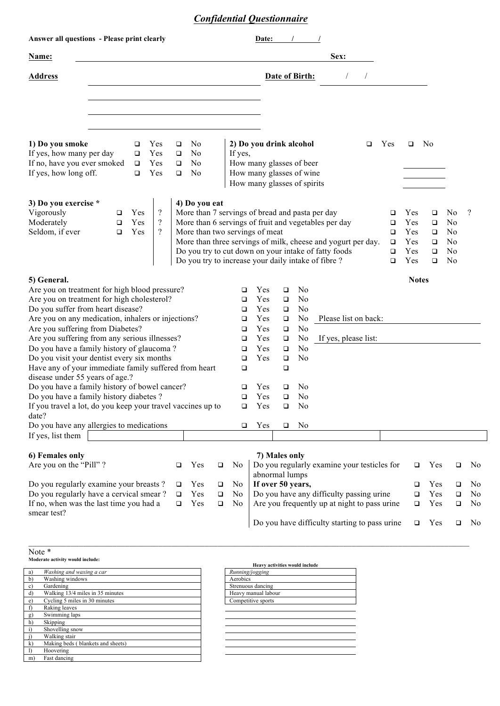## *Confidential Questionnaire*

| Answer all questions - Please print clearly                                                                                                                                            |                  |                            |                                                        |                       |                                                 |                       |                          | Date:                           |                                                                      |                                  |                                                                                                                                                                                                                                                                                        |                                 |                                        |                                           |                                                                                                          |                |
|----------------------------------------------------------------------------------------------------------------------------------------------------------------------------------------|------------------|----------------------------|--------------------------------------------------------|-----------------------|-------------------------------------------------|-----------------------|--------------------------|---------------------------------|----------------------------------------------------------------------|----------------------------------|----------------------------------------------------------------------------------------------------------------------------------------------------------------------------------------------------------------------------------------------------------------------------------------|---------------------------------|----------------------------------------|-------------------------------------------|----------------------------------------------------------------------------------------------------------|----------------|
| Name:                                                                                                                                                                                  |                  |                            |                                                        |                       |                                                 |                       |                          |                                 |                                                                      |                                  | Sex:                                                                                                                                                                                                                                                                                   |                                 |                                        |                                           |                                                                                                          |                |
| <b>Address</b>                                                                                                                                                                         |                  |                            |                                                        |                       |                                                 |                       |                          |                                 | Date of Birth:<br>$\overline{1}$                                     |                                  |                                                                                                                                                                                                                                                                                        |                                 |                                        |                                           |                                                                                                          |                |
|                                                                                                                                                                                        |                  |                            |                                                        |                       |                                                 |                       |                          |                                 |                                                                      |                                  |                                                                                                                                                                                                                                                                                        |                                 |                                        |                                           |                                                                                                          |                |
| 1) Do you smoke<br>If yes, how many per day<br>If no, have you ever smoked                                                                                                             |                  | $\Box$<br>$\Box$<br>$\Box$ | Yes<br>Yes<br>Yes                                      | $\Box$<br>$\Box$<br>□ | No<br>No<br>No                                  |                       | If yes,                  |                                 | 2) Do you drink alcohol                                              |                                  | ❏                                                                                                                                                                                                                                                                                      | Yes                             | $\Box$                                 | No.                                       |                                                                                                          |                |
| If yes, how long off.                                                                                                                                                                  |                  | $\Box$                     | Yes                                                    | $\Box$                | No                                              |                       |                          |                                 | How many glasses of beer<br>How many glasses of wine                 |                                  |                                                                                                                                                                                                                                                                                        |                                 |                                        |                                           |                                                                                                          |                |
|                                                                                                                                                                                        |                  |                            |                                                        |                       |                                                 |                       |                          |                                 | How many glasses of spirits                                          |                                  |                                                                                                                                                                                                                                                                                        |                                 |                                        |                                           |                                                                                                          |                |
| 3) Do you exercise *<br>Vigorously<br>Moderately<br>Seldom, if ever                                                                                                                    | □<br>□<br>$\Box$ | Yes<br>Yes<br>Yes          | $\overline{\mathcal{L}}$<br>$\overline{?}$<br>$\gamma$ |                       | 4) Do you eat<br>More than two servings of meat |                       |                          |                                 |                                                                      |                                  | More than 7 servings of bread and pasta per day<br>More than 6 servings of fruit and vegetables per day<br>More than three servings of milk, cheese and yogurt per day.<br>Do you try to cut down on your intake of fatty foods<br>Do you try to increase your daily intake of fibre ? | ❏<br>❏<br>❏<br>❏<br>$\Box$<br>□ | Yes<br>Yes<br>Yes<br>Yes<br>Yes<br>Yes | ❏<br>❏<br>$\Box$<br>❏<br>$\Box$<br>$\Box$ | N <sub>0</sub><br>N <sub>0</sub><br>N <sub>0</sub><br>N <sub>0</sub><br>N <sub>0</sub><br>N <sub>0</sub> | $\gamma$       |
| 5) General.                                                                                                                                                                            |                  |                            |                                                        |                       |                                                 |                       |                          |                                 |                                                                      |                                  |                                                                                                                                                                                                                                                                                        |                                 | <b>Notes</b>                           |                                           |                                                                                                          |                |
| Are you on treatment for high blood pressure?<br>Are you on treatment for high cholesterol?<br>Do you suffer from heart disease?<br>Are you on any medication, inhalers or injections? |                  |                            |                                                        |                       |                                                 | $\Box$<br>□<br>□<br>□ | Yes<br>Yes<br>Yes<br>Yes | $\Box$<br>❏<br>$\Box$<br>$\Box$ | N <sub>0</sub><br>N <sub>0</sub><br>N <sub>0</sub><br>N <sub>0</sub> | Please list on back:             |                                                                                                                                                                                                                                                                                        |                                 |                                        |                                           |                                                                                                          |                |
| Are you suffering from Diabetes?<br>Are you suffering from any serious illnesses?                                                                                                      |                  |                            |                                                        |                       |                                                 |                       | □<br>□                   | Yes<br>Yes                      | $\Box$<br>❏                                                          | N <sub>0</sub><br>N <sub>0</sub> | If yes, please list:                                                                                                                                                                                                                                                                   |                                 |                                        |                                           |                                                                                                          |                |
| Do you have a family history of glaucoma?                                                                                                                                              |                  |                            |                                                        |                       |                                                 |                       | □                        | Yes                             | $\Box$                                                               | N <sub>0</sub>                   |                                                                                                                                                                                                                                                                                        |                                 |                                        |                                           |                                                                                                          |                |
| Do you visit your dentist every six months                                                                                                                                             |                  |                            |                                                        |                       |                                                 |                       | □                        | Yes                             | $\Box$                                                               | N <sub>0</sub>                   |                                                                                                                                                                                                                                                                                        |                                 |                                        |                                           |                                                                                                          |                |
| Have any of your immediate family suffered from heart<br>disease under 55 years of age.?                                                                                               |                  |                            |                                                        |                       |                                                 |                       | □                        |                                 | $\Box$                                                               |                                  |                                                                                                                                                                                                                                                                                        |                                 |                                        |                                           |                                                                                                          |                |
| Do you have a family history of bowel cancer?                                                                                                                                          |                  |                            |                                                        |                       |                                                 |                       | □                        | Yes                             | ❏                                                                    | N <sub>0</sub>                   |                                                                                                                                                                                                                                                                                        |                                 |                                        |                                           |                                                                                                          |                |
| Do you have a family history diabetes?<br>If you travel a lot, do you keep your travel vaccines up to<br>date?                                                                         |                  |                            |                                                        |                       |                                                 | $\Box$<br>□           | Yes<br>Yes               | $\Box$<br>$\Box$                | N <sub>0</sub><br>No                                                 |                                  |                                                                                                                                                                                                                                                                                        |                                 |                                        |                                           |                                                                                                          |                |
| Do you have any allergies to medications                                                                                                                                               |                  |                            |                                                        |                       |                                                 |                       | □                        | Yes                             | $\Box$                                                               | No                               |                                                                                                                                                                                                                                                                                        |                                 |                                        |                                           |                                                                                                          |                |
| If yes, list them                                                                                                                                                                      |                  |                            |                                                        |                       |                                                 |                       |                          |                                 |                                                                      |                                  |                                                                                                                                                                                                                                                                                        |                                 |                                        |                                           |                                                                                                          |                |
| 6) Females only                                                                                                                                                                        |                  |                            |                                                        |                       |                                                 |                       |                          |                                 | 7) Males only                                                        |                                  |                                                                                                                                                                                                                                                                                        |                                 |                                        |                                           |                                                                                                          |                |
| Are you on the "Pill"?<br>Yes<br>□                                                                                                                                                     |                  |                            |                                                        | $\Box$                | No                                              |                       | abnormal lumps           |                                 | Do you regularly examine your testicles for                          |                                  | □                                                                                                                                                                                                                                                                                      | Yes                             | $\Box$                                 | No                                        |                                                                                                          |                |
| Do you regularly examine your breasts?<br>Yes<br>□                                                                                                                                     |                  |                            |                                                        |                       | $\Box$                                          | No                    |                          | If over 50 years,               |                                                                      |                                  |                                                                                                                                                                                                                                                                                        | □                               | Yes                                    | ❏                                         | No                                                                                                       |                |
| Do you regularly have a cervical smear?<br>Yes<br>$\Box$                                                                                                                               |                  |                            |                                                        | $\Box$                | N <sub>o</sub>                                  |                       |                          |                                 | Do you have any difficulty passing urine                             |                                  | $\Box$                                                                                                                                                                                                                                                                                 | Yes                             | $\Box$                                 | N <sub>0</sub>                            |                                                                                                          |                |
| If no, when was the last time you had a<br>smear test?                                                                                                                                 |                  |                            |                                                        | $\Box$                | Yes                                             | $\Box$                | N <sub>0</sub>           |                                 |                                                                      |                                  | Are you frequently up at night to pass urine                                                                                                                                                                                                                                           |                                 | □                                      | Yes                                       | $\Box$                                                                                                   | N <sub>0</sub> |
|                                                                                                                                                                                        |                  |                            |                                                        |                       |                                                 |                       |                          |                                 |                                                                      |                                  | Do you have difficulty starting to pass urine                                                                                                                                                                                                                                          |                                 | o                                      | Yes                                       | $\Box$                                                                                                   | No             |

## Note \*

**Moderate activity would include:** 

| a)           | Washing and waxing a car          | Running/jogging     |
|--------------|-----------------------------------|---------------------|
| b)           | Washing windows                   | Aerobics            |
| c)           | Gardening                         | Strenuous dancing   |
| d)           | Walking 13/4 miles in 35 minutes  | Heavy manual labour |
| $\epsilon$ ) | Cycling 5 miles in 30 minutes     | Competitive sports  |
|              | Raking leaves                     |                     |
| g)           | Swimming laps                     |                     |
| h)           | Skipping                          |                     |
|              | Shovelling snow                   |                     |
|              | Walking stair                     |                     |
| k)           | Making beds (blankets and sheets) |                     |
|              | Hoovering                         |                     |
| m)           | Fast dancing                      |                     |

| <b>Heavy activities would include</b> |                     |  |  |  |  |  |  |  |  |
|---------------------------------------|---------------------|--|--|--|--|--|--|--|--|
|                                       | Running/jogging     |  |  |  |  |  |  |  |  |
|                                       | Aerobics            |  |  |  |  |  |  |  |  |
|                                       | Strenuous dancing   |  |  |  |  |  |  |  |  |
|                                       | Heavy manual labour |  |  |  |  |  |  |  |  |
|                                       | Competitive sports  |  |  |  |  |  |  |  |  |
|                                       |                     |  |  |  |  |  |  |  |  |
|                                       |                     |  |  |  |  |  |  |  |  |
|                                       |                     |  |  |  |  |  |  |  |  |
|                                       |                     |  |  |  |  |  |  |  |  |
|                                       |                     |  |  |  |  |  |  |  |  |
|                                       |                     |  |  |  |  |  |  |  |  |
|                                       |                     |  |  |  |  |  |  |  |  |
|                                       |                     |  |  |  |  |  |  |  |  |